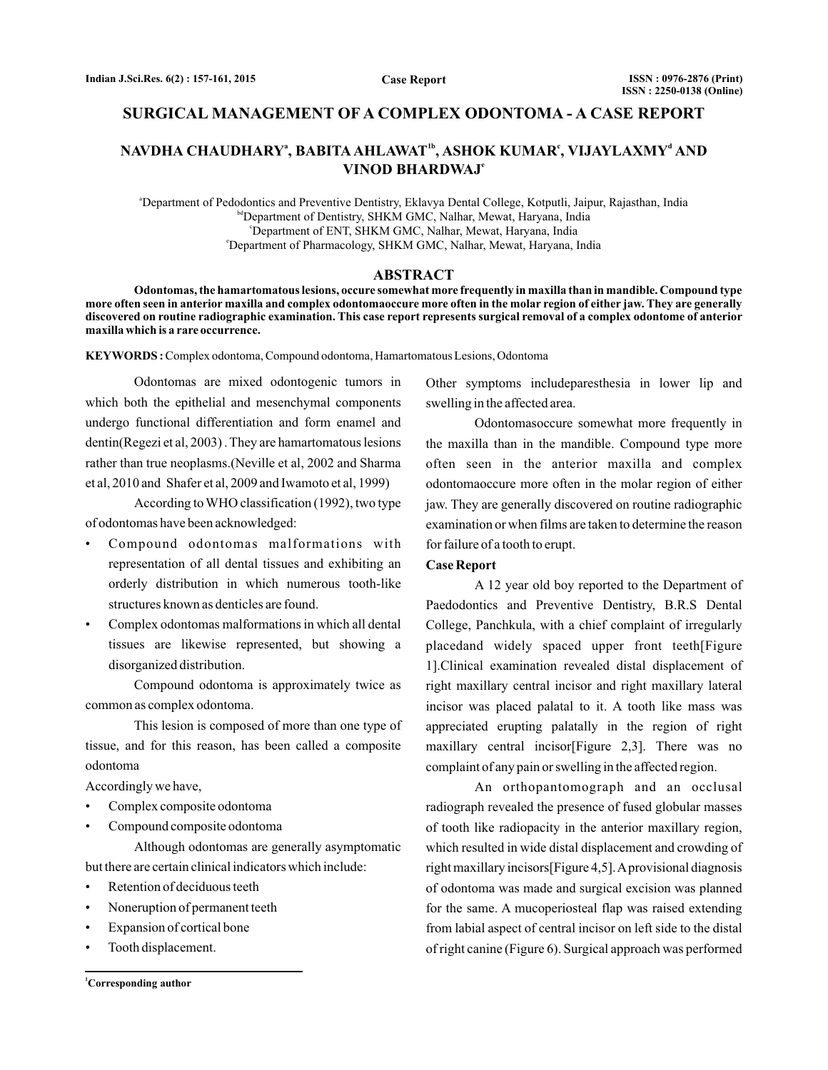# **SURGICAL MANAGEMENT OF A COMPLEX ODONTOMA - A CASE REPORT**

# <code>NAVDHA CHAUDHARY $^{\mathsf{a}},$  BABITA AHLAWAT $^{\mathsf{1b}},$  ASHOK KUMAR $^{\mathsf{c}},$  VIJAYLAXMY $^{\mathsf{d}}$  AND</code> **VINOD BHARDWAJ e**

a Department of Pedodontics and Preventive Dentistry, Eklavya Dental College, Kotputli, Jaipur, Rajasthan, India bdDepartment of Dentistry, SHKM GMC, Nalhar, Mewat, Haryana, India c Department of ENT, SHKM GMC, Nalhar, Mewat, Haryana, India e Department of Pharmacology, SHKM GMC, Nalhar, Mewat, Haryana, India

#### **ABSTRACT**

**Odontomas, the hamartomatous lesions, occure somewhat more frequently in maxilla than in mandible. Compound type more often seen in anterior maxilla and complex odontomaoccure more often in the molar region of either jaw. They are generally discovered on routine radiographic examination. This case report represents surgical removal of a complex odontome of anterior maxilla which is a rare occurrence.**

**KEYWORDS :** Complex odontoma, Compound odontoma, Hamartomatous Lesions, Odontoma

Odontomas are mixed odontogenic tumors in which both the epithelial and mesenchymal components undergo functional differentiation and form enamel and dentin(Regezi et al, 2003) . They are hamartomatous lesions rather than true neoplasms.(Neville et al, 2002 and Sharma et al, 2010 and Shafer et al, 2009 and Iwamoto et al, 1999)

According toWHO classification (1992), two type of odontomas have been acknowledged:

- Compound odontomas malformations with representation of all dental tissues and exhibiting an orderly distribution in which numerous tooth-like structures known as denticles are found.
- Complex odontomas malformations in which all dental tissues are likewise represented, but showing a disorganized distribution.

Compound odontoma is approximately twice as common as complex odontoma.

This lesion is composed of more than one type of tissue, and for this reason, has been called a composite odontoma

Accordingly we have,

- Complex composite odontoma
- Compound composite odontoma

Although odontomas are generally asymptomatic but there are certain clinical indicators which include:

- Retention of deciduous teeth
- Noneruption of permanent teeth
- Expansion of cortical bone
- Tooth displacement.

**<sup>1</sup>Corresponding author**

Other symptoms includeparesthesia in lower lip and swelling in the affected area.

Odontomasoccure somewhat more frequently in the maxilla than in the mandible. Compound type more often seen in the anterior maxilla and complex odontomaoccure more often in the molar region of either jaw. They are generally discovered on routine radiographic examination or when films are taken to determine the reason for failure of a tooth to erupt.

### **Case Report**

A 12 year old boy reported to the Department of Paedodontics and Preventive Dentistry, B.R.S Dental College, Panchkula, with a chief complaint of irregularly placedand widely spaced upper front teeth[Figure 1].Clinical examination revealed distal displacement of right maxillary central incisor and right maxillary lateral incisor was placed palatal to it. A tooth like mass was appreciated erupting palatally in the region of right maxillary central incisor[Figure 2,3]. There was no complaint of any pain or swelling in the affected region.

An orthopantomograph and an occlusal radiograph revealed the presence of fused globular masses of tooth like radiopacity in the anterior maxillary region, which resulted in wide distal displacement and crowding of right maxillary incisors[Figure 4,5].Aprovisional diagnosis of odontoma was made and surgical excision was planned for the same. A mucoperiosteal flap was raised extending from labial aspect of central incisor on left side to the distal of right canine (Figure 6). Surgical approach was performed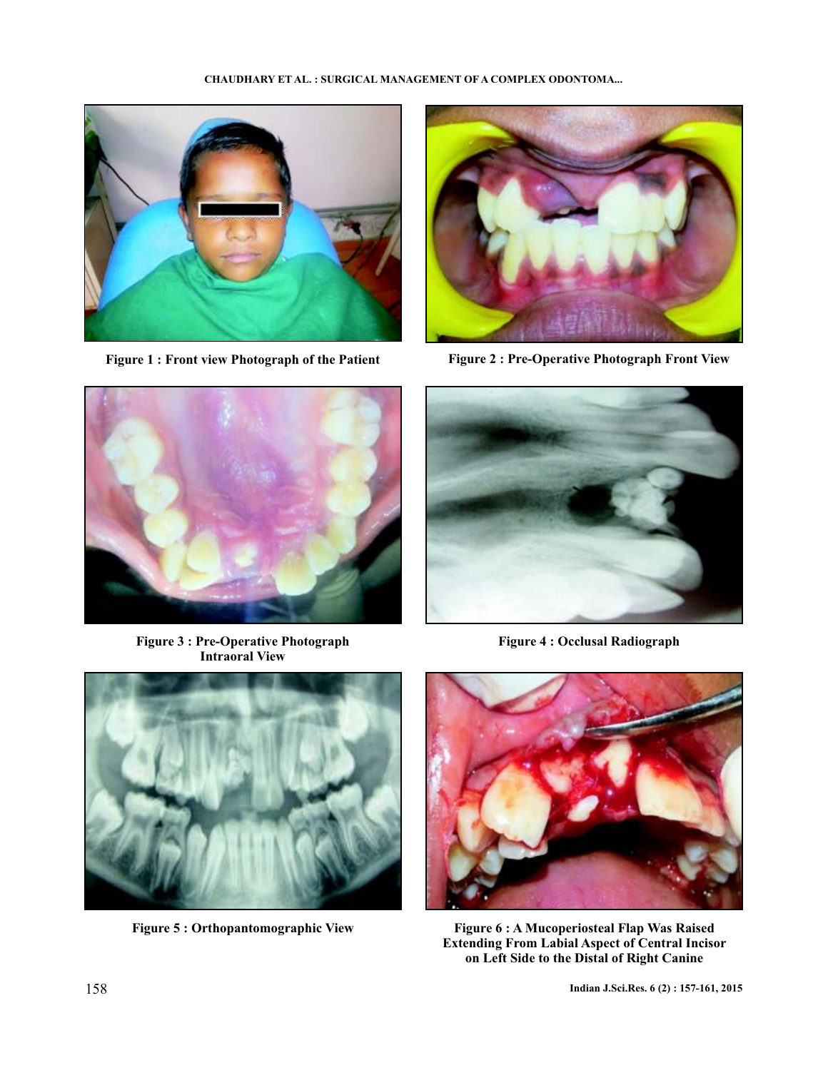



**Figure 1 : Front view Photograph of the Patient Figure 2 : Pre-Operative Photograph Front View**



**Figure 3 : Pre-Operative Photograph Intraoral View**



**Figure 4 : Occlusal Radiograph**



**Figure 5 : Orthopantomographic View**



**Figure 6 : A Mucoperiosteal Flap Was Raised Extending From Labial Aspect of Central Incisor on Left Side to the Distal of Right Canine**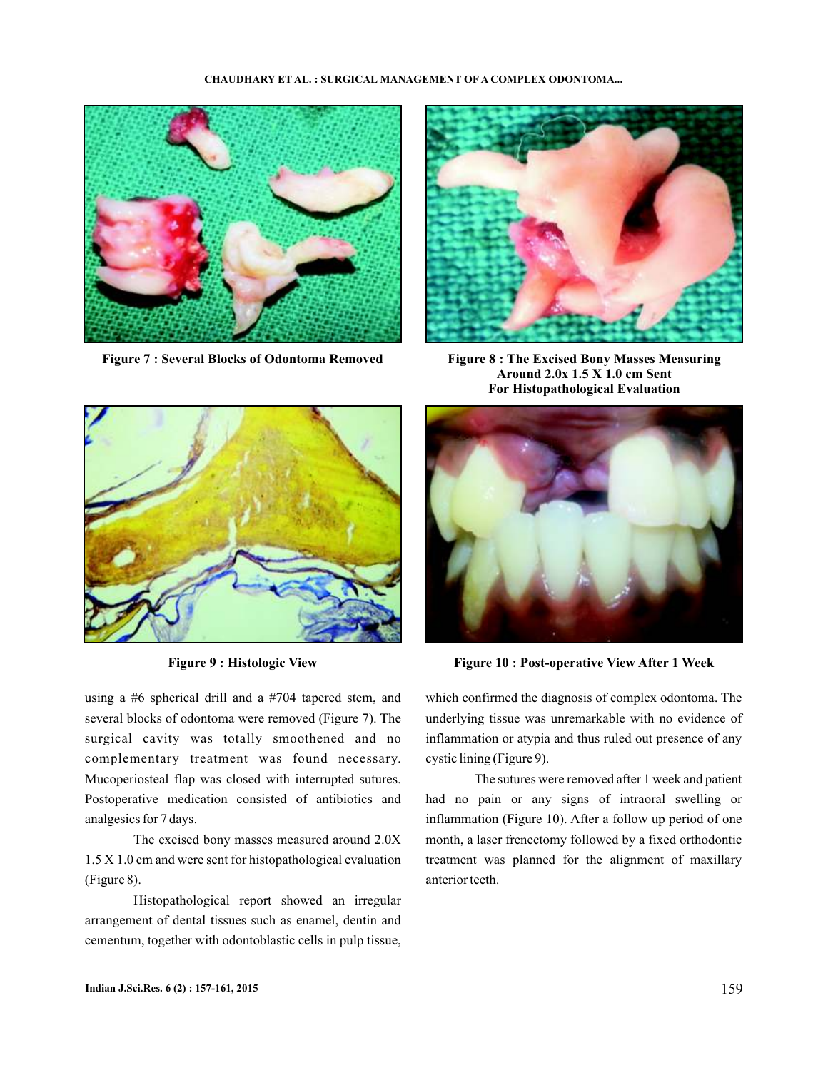#### **CHAUDHARY ET AL. : SURGICAL MANAGEMENT OF A COMPLEX ODONTOMA...**





**Figure 9 : Histologic View**

using a #6 spherical drill and a #704 tapered stem, and several blocks of odontoma were removed (Figure 7). The surgical cavity was totally smoothened and no complementary treatment was found necessary. Mucoperiosteal flap was closed with interrupted sutures. Postoperative medication consisted of antibiotics and analgesics for 7 days.

The excised bony masses measured around 2.0X 1.5 X 1.0 cm and were sent for histopathological evaluation (Figure 8).

Histopathological report showed an irregular arrangement of dental tissues such as enamel, dentin and cementum, together with odontoblastic cells in pulp tissue,



**Figure 7 : Several Blocks of Odontoma Removed Figure 8 : The Excised Bony Masses Measuring Around 2.0x 1.5 X 1.0 cm Sent For Histopathological Evaluation**



**Figure 10 : Post-operative View After 1 Week**

which confirmed the diagnosis of complex odontoma. The underlying tissue was unremarkable with no evidence of inflammation or atypia and thus ruled out presence of any cystic lining (Figure 9).

The sutures were removed after 1 week and patient had no pain or any signs of intraoral swelling or inflammation (Figure 10). After a follow up period of one month, a laser frenectomy followed by a fixed orthodontic treatment was planned for the alignment of maxillary anterior teeth.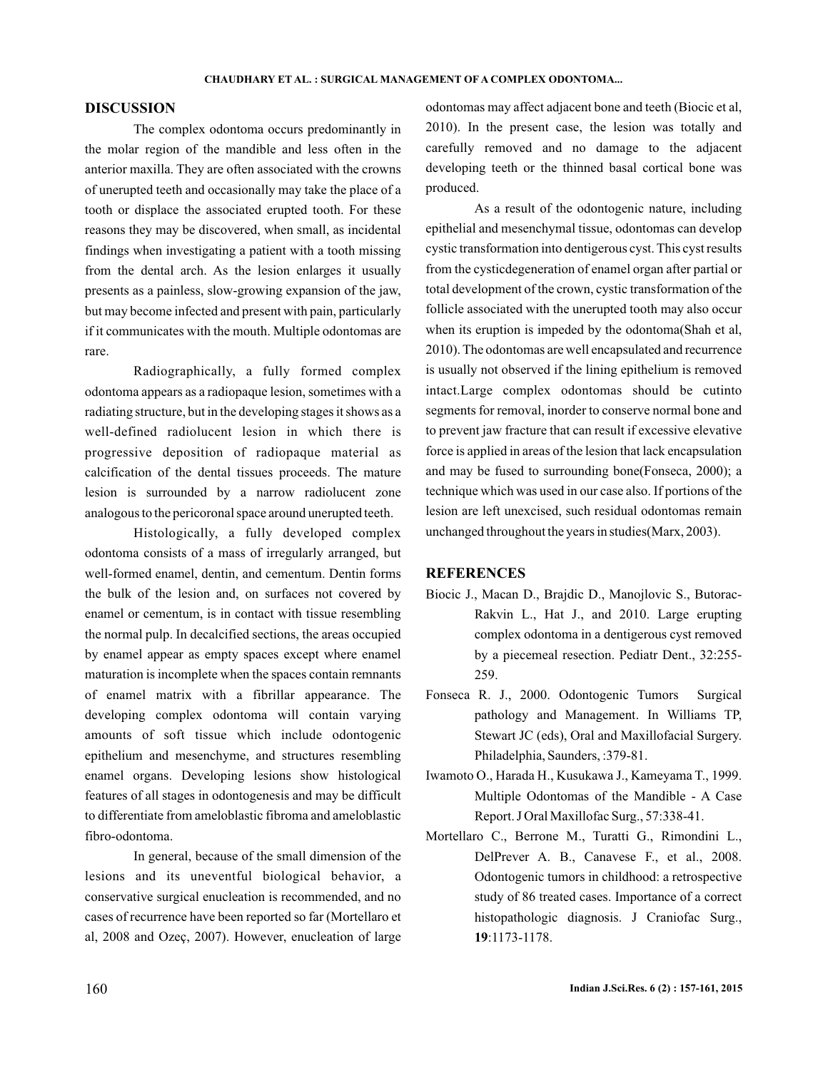## **DISCUSSION**

The complex odontoma occurs predominantly in the molar region of the mandible and less often in the anterior maxilla. They are often associated with the crowns of unerupted teeth and occasionally may take the place of a tooth or displace the associated erupted tooth. For these reasons they may be discovered, when small, as incidental findings when investigating a patient with a tooth missing from the dental arch. As the lesion enlarges it usually presents as a painless, slow-growing expansion of the jaw, but may become infected and present with pain, particularly if it communicates with the mouth. Multiple odontomas are rare.

Radiographically, a fully formed complex odontoma appears as a radiopaque lesion, sometimes with a radiating structure, but in the developing stages it shows as a well-defined radiolucent lesion in which there is progressive deposition of radiopaque material as calcification of the dental tissues proceeds. The mature lesion is surrounded by a narrow radiolucent zone analogous to the pericoronal space around unerupted teeth.

Histologically, a fully developed complex odontoma consists of a mass of irregularly arranged, but well-formed enamel, dentin, and cementum. Dentin forms the bulk of the lesion and, on surfaces not covered by enamel or cementum, is in contact with tissue resembling the normal pulp. In decalcified sections, the areas occupied by enamel appear as empty spaces except where enamel maturation is incomplete when the spaces contain remnants of enamel matrix with a fibrillar appearance. The developing complex odontoma will contain varying amounts of soft tissue which include odontogenic epithelium and mesenchyme, and structures resembling enamel organs. Developing lesions show histological features of all stages in odontogenesis and may be difficult to differentiate from ameloblastic fibroma and ameloblastic fibro-odontoma.

In general, because of the small dimension of the lesions and its uneventful biological behavior, a conservative surgical enucleation is recommended, and no cases of recurrence have been reported so far (Mortellaro et al, 2008 and Ozeç, 2007). However, enucleation of large

odontomas may affect adjacent bone and teeth (Biocic et al, 2010). In the present case, the lesion was totally and carefully removed and no damage to the adjacent developing teeth or the thinned basal cortical bone was produced.

As a result of the odontogenic nature, including epithelial and mesenchymal tissue, odontomas can develop cystic transformation into dentigerous cyst. This cyst results from the cysticdegeneration of enamel organ after partial or total development of the crown, cystic transformation of the follicle associated with the unerupted tooth may also occur when its eruption is impeded by the odontoma(Shah et al, 2010). The odontomas are well encapsulated and recurrence is usually not observed if the lining epithelium is removed intact.Large complex odontomas should be cutinto segments for removal, inorder to conserve normal bone and to prevent jaw fracture that can result if excessive elevative force is applied in areas of the lesion that lack encapsulation and may be fused to surrounding bone(Fonseca, 2000); a technique which was used in our case also. If portions of the lesion are left unexcised, such residual odontomas remain unchanged throughout the years in studies(Marx, 2003).

# **REFERENCES**

- Biocic J., Macan D., Brajdic D., Manojlovic S., Butorac-Rakvin L., Hat J., and 2010. Large erupting complex odontoma in a dentigerous cyst removed by a piecemeal resection. Pediatr Dent., 32:255- 259.
- Fonseca R. J., 2000. Odontogenic Tumors Surgical pathology and Management. In Williams TP, Stewart JC (eds), Oral and Maxillofacial Surgery. Philadelphia, Saunders, :379-81.
- Iwamoto O., Harada H., Kusukawa J., Kameyama T., 1999. Multiple Odontomas of the Mandible - A Case Report. J Oral Maxillofac Surg., 57:338-41.
- Mortellaro C., Berrone M., Turatti G., Rimondini L., DelPrever A. B., Canavese F., et al., 2008. Odontogenic tumors in childhood: a retrospective study of 86 treated cases. Importance of a correct histopathologic diagnosis. J Craniofac Surg., :1173-1178. **19**